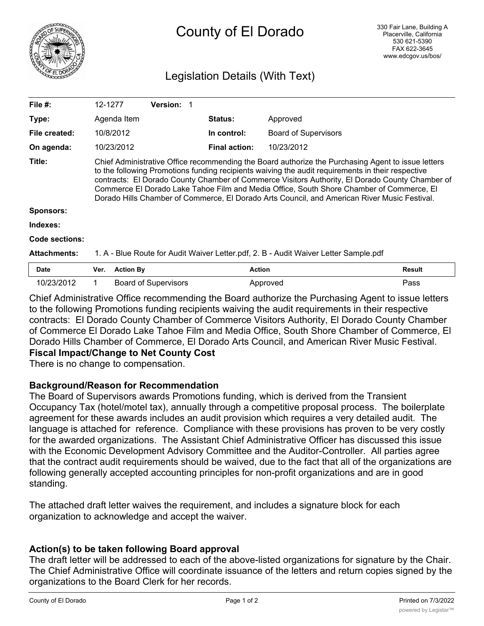

# County of El Dorado

### Legislation Details (With Text)

| File #:                    | 12-1277                                                                                                                                                                                                                                                                                                                                                                                                                                                                                                |                  | <b>Version:</b>             |                      |                             |               |
|----------------------------|--------------------------------------------------------------------------------------------------------------------------------------------------------------------------------------------------------------------------------------------------------------------------------------------------------------------------------------------------------------------------------------------------------------------------------------------------------------------------------------------------------|------------------|-----------------------------|----------------------|-----------------------------|---------------|
| Type:                      |                                                                                                                                                                                                                                                                                                                                                                                                                                                                                                        | Agenda Item      |                             | <b>Status:</b>       | Approved                    |               |
| File created:              | 10/8/2012                                                                                                                                                                                                                                                                                                                                                                                                                                                                                              |                  |                             | In control:          | <b>Board of Supervisors</b> |               |
| On agenda:                 | 10/23/2012                                                                                                                                                                                                                                                                                                                                                                                                                                                                                             |                  |                             | <b>Final action:</b> | 10/23/2012                  |               |
| Title:<br><b>Sponsors:</b> | Chief Administrative Office recommending the Board authorize the Purchasing Agent to issue letters<br>to the following Promotions funding recipients waiving the audit requirements in their respective<br>contracts: El Dorado County Chamber of Commerce Visitors Authority, El Dorado County Chamber of<br>Commerce El Dorado Lake Tahoe Film and Media Office, South Shore Chamber of Commerce, El<br>Dorado Hills Chamber of Commerce, El Dorado Arts Council, and American River Music Festival. |                  |                             |                      |                             |               |
| Indexes:                   |                                                                                                                                                                                                                                                                                                                                                                                                                                                                                                        |                  |                             |                      |                             |               |
| Code sections:             |                                                                                                                                                                                                                                                                                                                                                                                                                                                                                                        |                  |                             |                      |                             |               |
| <b>Attachments:</b>        | 1. A - Blue Route for Audit Waiver Letter.pdf, 2. B - Audit Waiver Letter Sample.pdf                                                                                                                                                                                                                                                                                                                                                                                                                   |                  |                             |                      |                             |               |
| <b>Date</b>                | Ver.                                                                                                                                                                                                                                                                                                                                                                                                                                                                                                   | <b>Action By</b> |                             |                      | <b>Action</b>               | <b>Result</b> |
| 10/23/2012                 |                                                                                                                                                                                                                                                                                                                                                                                                                                                                                                        |                  | <b>Board of Supervisors</b> |                      | Approved                    | Pass          |

Chief Administrative Office recommending the Board authorize the Purchasing Agent to issue letters to the following Promotions funding recipients waiving the audit requirements in their respective contracts: El Dorado County Chamber of Commerce Visitors Authority, El Dorado County Chamber of Commerce El Dorado Lake Tahoe Film and Media Office, South Shore Chamber of Commerce, El Dorado Hills Chamber of Commerce, El Dorado Arts Council, and American River Music Festival.

**Fiscal Impact/Change to Net County Cost**

There is no change to compensation.

#### **Background/Reason for Recommendation**

The Board of Supervisors awards Promotions funding, which is derived from the Transient Occupancy Tax (hotel/motel tax), annually through a competitive proposal process. The boilerplate agreement for these awards includes an audit provision which requires a very detailed audit. The language is attached for reference. Compliance with these provisions has proven to be very costly for the awarded organizations. The Assistant Chief Administrative Officer has discussed this issue with the Economic Development Advisory Committee and the Auditor-Controller. All parties agree that the contract audit requirements should be waived, due to the fact that all of the organizations are following generally accepted accounting principles for non-profit organizations and are in good standing.

The attached draft letter waives the requirement, and includes a signature block for each organization to acknowledge and accept the waiver.

#### **Action(s) to be taken following Board approval**

The draft letter will be addressed to each of the above-listed organizations for signature by the Chair. The Chief Administrative Office will coordinate issuance of the letters and return copies signed by the organizations to the Board Clerk for her records.